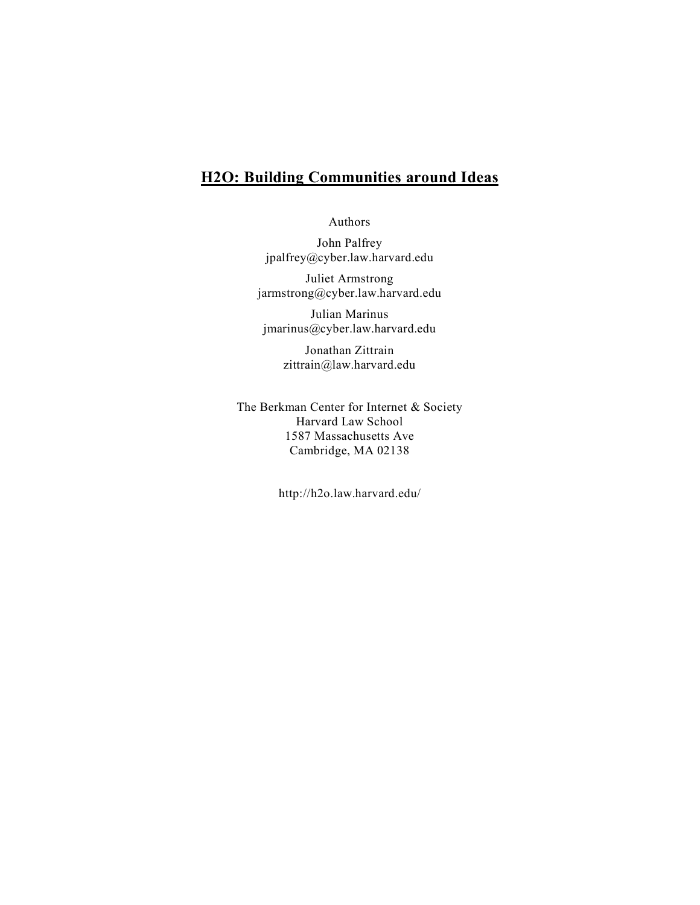# **H2O: Building Communities around Ideas**

Authors

John Palfrey jpalfrey@cyber.law.harvard.edu

Juliet Armstrong jarmstrong@cyber.law.harvard.edu

Julian Marinus jmarinus@cyber.law.harvard.edu

> Jonathan Zittrain zittrain@law.harvard.edu

The Berkman Center for Internet & Society Harvard Law School 1587 Massachusetts Ave Cambridge, MA 02138

http://h2o.law.harvard.edu/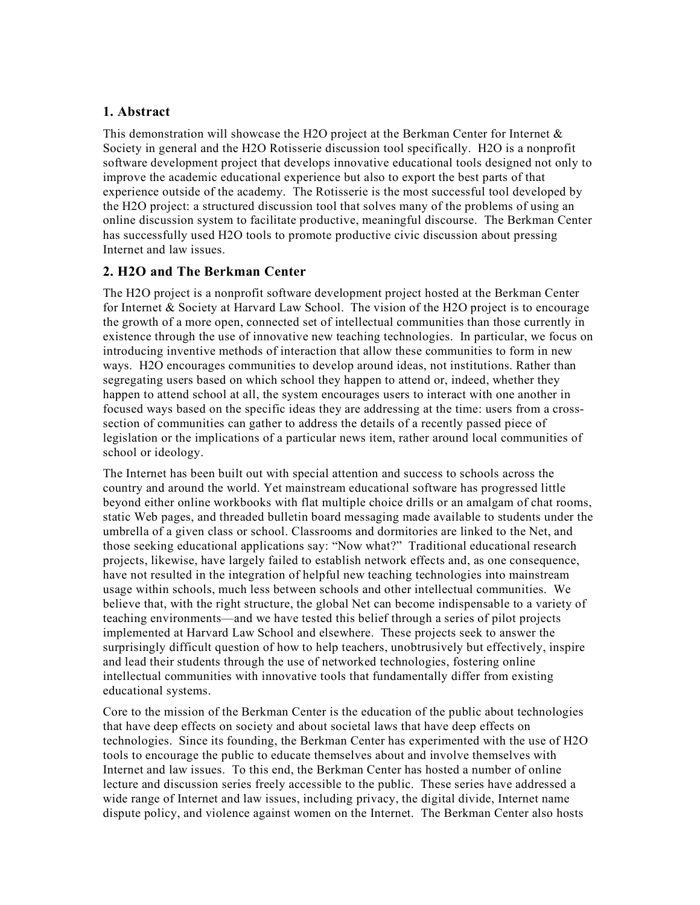### **1. Abstract**

This demonstration will showcase the H2O project at the Berkman Center for Internet  $\&$ Society in general and the H2O Rotisserie discussion tool specifically. H2O is a nonprofit software development project that develops innovative educational tools designed not only to improve the academic educational experience but also to export the best parts of that experience outside of the academy. The Rotisserie is the most successful tool developed by the H2O project: a structured discussion tool that solves many of the problems of using an online discussion system to facilitate productive, meaningful discourse. The Berkman Center has successfully used H2O tools to promote productive civic discussion about pressing Internet and law issues.

### **2. H2O and The Berkman Center**

The H2O project is a nonprofit software development project hosted at the Berkman Center for Internet & Society at Harvard Law School. The vision of the H2O project is to encourage the growth of a more open, connected set of intellectual communities than those currently in existence through the use of innovative new teaching technologies. In particular, we focus on introducing inventive methods of interaction that allow these communities to form in new ways. H2O encourages communities to develop around ideas, not institutions. Rather than segregating users based on which school they happen to attend or, indeed, whether they happen to attend school at all, the system encourages users to interact with one another in focused ways based on the specific ideas they are addressing at the time: users from a crosssection of communities can gather to address the details of a recently passed piece of legislation or the implications of a particular news item, rather around local communities of school or ideology.

The Internet has been built out with special attention and success to schools across the country and around the world. Yet mainstream educational software has progressed little beyond either online workbooks with flat multiple choice drills or an amalgam of chat rooms, static Web pages, and threaded bulletin board messaging made available to students under the umbrella of a given class or school. Classrooms and dormitories are linked to the Net, and those seeking educational applications say: "Now what?" Traditional educational research projects, likewise, have largely failed to establish network effects and, as one consequence, have not resulted in the integration of helpful new teaching technologies into mainstream usage within schools, much less between schools and other intellectual communities. We believe that, with the right structure, the global Net can become indispensable to a variety of teaching environments—and we have tested this belief through a series of pilot projects implemented at Harvard Law School and elsewhere. These projects seek to answer the surprisingly difficult question of how to help teachers, unobtrusively but effectively, inspire and lead their students through the use of networked technologies, fostering online intellectual communities with innovative tools that fundamentally differ from existing educational systems.

Core to the mission of the Berkman Center is the education of the public about technologies that have deep effects on society and about societal laws that have deep effects on technologies. Since its founding, the Berkman Center has experimented with the use of H2O tools to encourage the public to educate themselves about and involve themselves with Internet and law issues. To this end, the Berkman Center has hosted a number of online lecture and discussion series freely accessible to the public. These series have addressed a wide range of Internet and law issues, including privacy, the digital divide, Internet name dispute policy, and violence against women on the Internet. The Berkman Center also hosts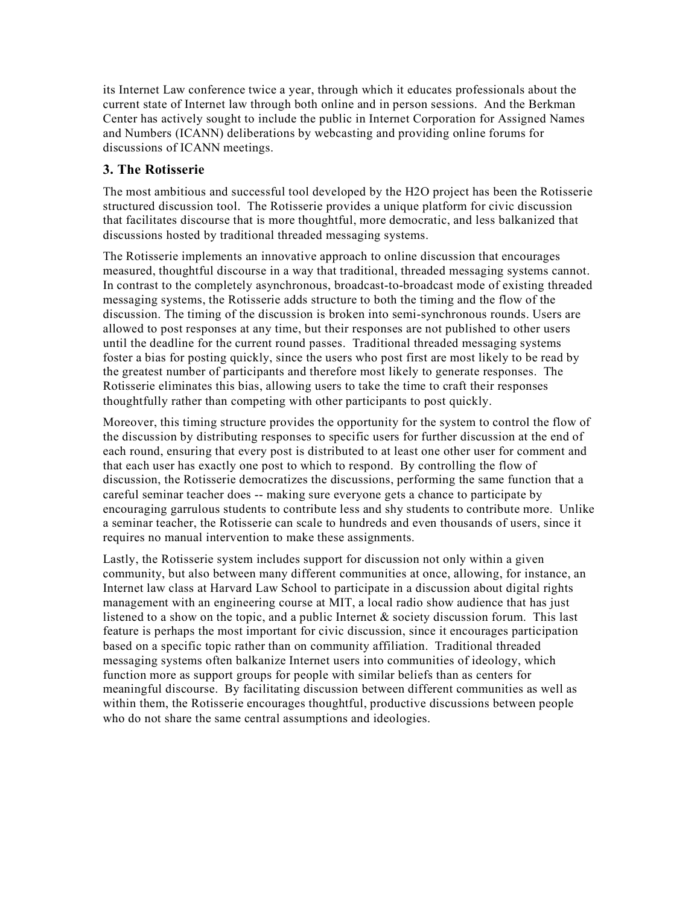its Internet Law conference twice a year, through which it educates professionals about the current state of Internet law through both online and in person sessions. And the Berkman Center has actively sought to include the public in Internet Corporation for Assigned Names and Numbers (ICANN) deliberations by webcasting and providing online forums for discussions of ICANN meetings.

## **3. The Rotisserie**

The most ambitious and successful tool developed by the H2O project has been the Rotisserie structured discussion tool. The Rotisserie provides a unique platform for civic discussion that facilitates discourse that is more thoughtful, more democratic, and less balkanized that discussions hosted by traditional threaded messaging systems.

The Rotisserie implements an innovative approach to online discussion that encourages measured, thoughtful discourse in a way that traditional, threaded messaging systems cannot. In contrast to the completely asynchronous, broadcast-to-broadcast mode of existing threaded messaging systems, the Rotisserie adds structure to both the timing and the flow of the discussion. The timing of the discussion is broken into semi-synchronous rounds. Users are allowed to post responses at any time, but their responses are not published to other users until the deadline for the current round passes. Traditional threaded messaging systems foster a bias for posting quickly, since the users who post first are most likely to be read by the greatest number of participants and therefore most likely to generate responses. The Rotisserie eliminates this bias, allowing users to take the time to craft their responses thoughtfully rather than competing with other participants to post quickly.

Moreover, this timing structure provides the opportunity for the system to control the flow of the discussion by distributing responses to specific users for further discussion at the end of each round, ensuring that every post is distributed to at least one other user for comment and that each user has exactly one post to which to respond. By controlling the flow of discussion, the Rotisserie democratizes the discussions, performing the same function that a careful seminar teacher does -- making sure everyone gets a chance to participate by encouraging garrulous students to contribute less and shy students to contribute more. Unlike a seminar teacher, the Rotisserie can scale to hundreds and even thousands of users, since it requires no manual intervention to make these assignments.

Lastly, the Rotisserie system includes support for discussion not only within a given community, but also between many different communities at once, allowing, for instance, an Internet law class at Harvard Law School to participate in a discussion about digital rights management with an engineering course at MIT, a local radio show audience that has just listened to a show on the topic, and a public Internet & society discussion forum. This last feature is perhaps the most important for civic discussion, since it encourages participation based on a specific topic rather than on community affiliation. Traditional threaded messaging systems often balkanize Internet users into communities of ideology, which function more as support groups for people with similar beliefs than as centers for meaningful discourse. By facilitating discussion between different communities as well as within them, the Rotisserie encourages thoughtful, productive discussions between people who do not share the same central assumptions and ideologies.